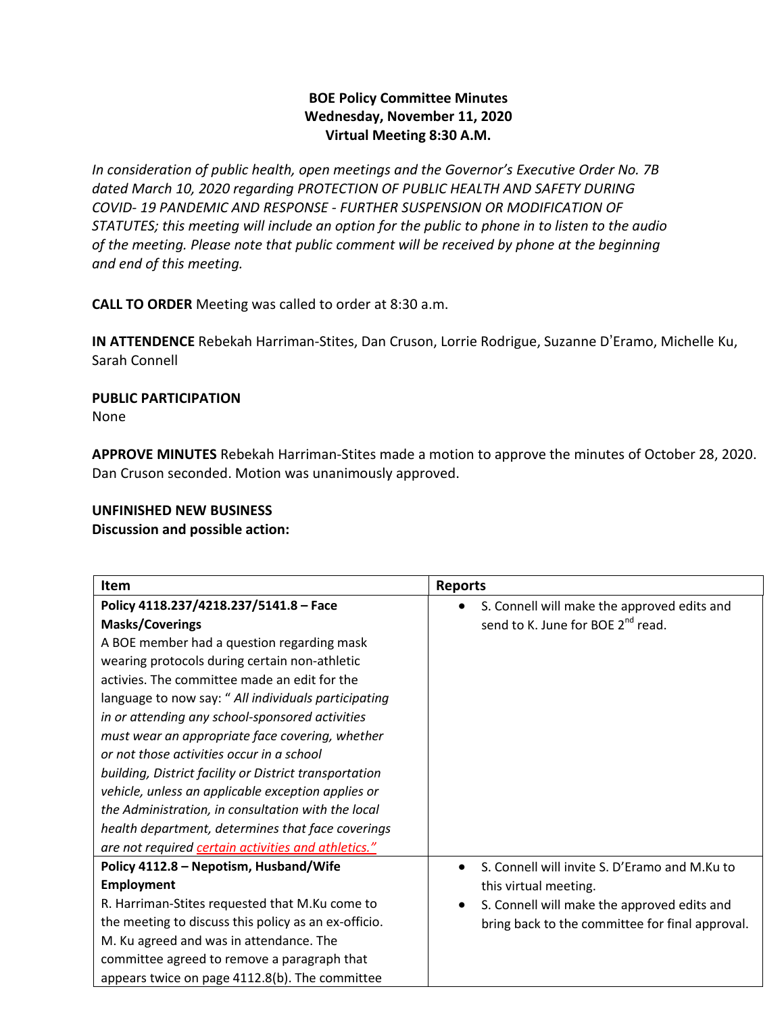# **BOE Policy Committee Minutes Wednesday, November 11, 2020 Virtual Meeting 8:30 A.M.**

*In consideration of public health, open meetings and the Governor's Executive Order No. 7B dated March 10, 2020 regarding PROTECTION OF PUBLIC HEALTH AND SAFETY DURING COVID- 19 PANDEMIC AND RESPONSE - FURTHER SUSPENSION OR MODIFICATION OF STATUTES; this meeting will include an option for the public to phone in to listen to the audio of the meeting. Please note that public comment will be received by phone at the beginning and end of this meeting.*

**CALL TO ORDER** Meeting was called to order at 8:30 a.m.

**IN ATTENDENCE** Rebekah Harriman-Stites, Dan Cruson, Lorrie Rodrigue, Suzanne D'Eramo, Michelle Ku, Sarah Connell

#### **PUBLIC PARTICIPATION**  None

**APPROVE MINUTES** Rebekah Harriman-Stites made a motion to approve the minutes of October 28, 2020. Dan Cruson seconded. Motion was unanimously approved.

## **UNFINISHED NEW BUSINESS**

## **Discussion and possible action:**

| <b>Item</b>                                            | <b>Reports</b>                                  |
|--------------------------------------------------------|-------------------------------------------------|
| Policy 4118.237/4218.237/5141.8 - Face                 | S. Connell will make the approved edits and     |
| <b>Masks/Coverings</b>                                 | send to K. June for BOE 2 <sup>nd</sup> read.   |
| A BOE member had a question regarding mask             |                                                 |
| wearing protocols during certain non-athletic          |                                                 |
| activies. The committee made an edit for the           |                                                 |
| language to now say: " All individuals participating   |                                                 |
| in or attending any school-sponsored activities        |                                                 |
| must wear an appropriate face covering, whether        |                                                 |
| or not those activities occur in a school              |                                                 |
| building, District facility or District transportation |                                                 |
| vehicle, unless an applicable exception applies or     |                                                 |
| the Administration, in consultation with the local     |                                                 |
| health department, determines that face coverings      |                                                 |
| are not required certain activities and athletics."    |                                                 |
| Policy 4112.8 - Nepotism, Husband/Wife                 | S. Connell will invite S. D'Eramo and M.Ku to   |
| <b>Employment</b>                                      | this virtual meeting.                           |
| R. Harriman-Stites requested that M.Ku come to         | S. Connell will make the approved edits and     |
| the meeting to discuss this policy as an ex-officio.   | bring back to the committee for final approval. |
| M. Ku agreed and was in attendance. The                |                                                 |
| committee agreed to remove a paragraph that            |                                                 |
| appears twice on page 4112.8(b). The committee         |                                                 |